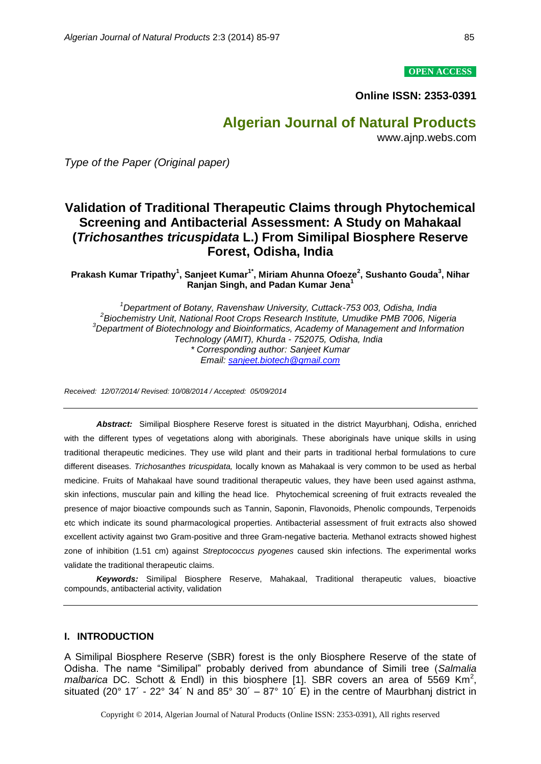#### **OPEN ACCESS**

**Online ISSN: 2353-0391**

# **Algerian Journal of Natural Products**

www.ajnp.webs.com

*Type of the Paper (Original paper)*

# **Validation of Traditional Therapeutic Claims through Phytochemical Screening and Antibacterial Assessment: A Study on Mahakaal (***Trichosanthes tricuspidata* **L.) From Similipal Biosphere Reserve Forest, Odisha, India**

**Prakash Kumar Tripathy<sup>1</sup> , Sanjeet Kumar1\* , Miriam Ahunna Ofoeze<sup>2</sup> , Sushanto Gouda<sup>3</sup> , Nihar Ranjan Singh, and Padan Kumar Jena<sup>1</sup>**

*<sup>1</sup>Department of Botany, Ravenshaw University, Cuttack-753 003, Odisha, India 2 Biochemistry Unit, National Root Crops Research Institute, Umudike PMB 7006, Nigeria <sup>3</sup>Department of Biotechnology and Bioinformatics, Academy of Management and Information Technology (AMIT), Khurda - 752075, Odisha, India \* Corresponding author: Sanjeet Kumar Email: [sanjeet.biotech@gmail.com](mailto:sanjeet.biotech@gmail.com)*

*Received: 12/07/2014/ Revised: 10/08/2014 / Accepted: 05/09/2014* 

*Abstract:* Similipal Biosphere Reserve forest is situated in the district Mayurbhanj, Odisha, enriched with the different types of vegetations along with aboriginals. These aboriginals have unique skills in using traditional therapeutic medicines. They use wild plant and their parts in traditional herbal formulations to cure different diseases. *Trichosanthes tricuspidata,* locally known as Mahakaal is very common to be used as herbal medicine. Fruits of Mahakaal have sound traditional therapeutic values, they have been used against asthma, skin infections, muscular pain and killing the head lice. Phytochemical screening of fruit extracts revealed the presence of major bioactive compounds such as Tannin, Saponin, Flavonoids, Phenolic compounds, Terpenoids etc which indicate its sound pharmacological properties. Antibacterial assessment of fruit extracts also showed excellent activity against two Gram-positive and three Gram-negative bacteria. Methanol extracts showed highest zone of inhibition (1.51 cm) against *Streptococcus pyogenes* caused skin infections. The experimental works validate the traditional therapeutic claims.

*Keywords:* Similipal Biosphere Reserve, Mahakaal, Traditional therapeutic values, bioactive compounds, antibacterial activity, validation

#### **I. INTRODUCTION**

A Similipal Biosphere Reserve (SBR) forest is the only Biosphere Reserve of the state of Odisha. The name "Similipal" probably derived from abundance of Simili tree (*Salmalia malbarica* DC. Schott & Endl) in this biosphere [1]. SBR covers an area of 5569 Km<sup>2</sup>, situated (20 $^{\circ}$  17´ - 22 $^{\circ}$  34´ N and 85 $^{\circ}$  30´ – 87 $^{\circ}$  10´ E) in the centre of Maurbhanj district in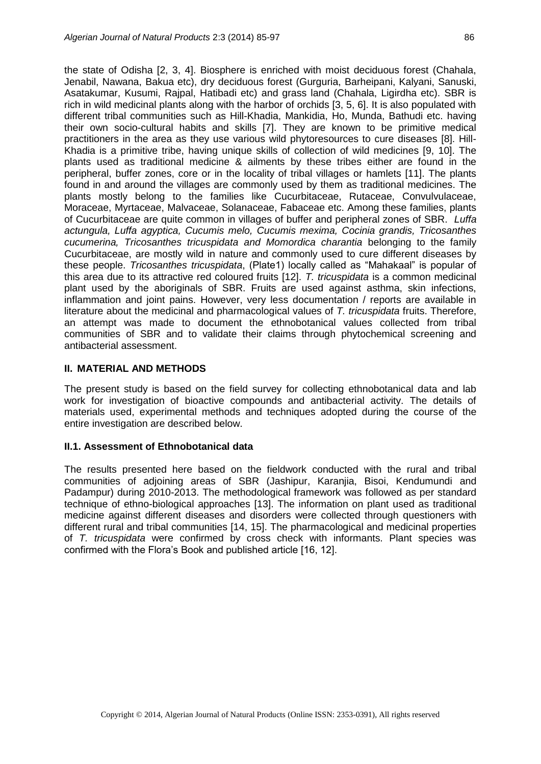the state of Odisha [2, 3, 4]. Biosphere is enriched with moist deciduous forest (Chahala, Jenabil, Nawana, Bakua etc), dry deciduous forest (Gurguria, Barheipani, Kalyani, Sanuski, Asatakumar, Kusumi, Rajpal, Hatibadi etc) and grass land (Chahala, Ligirdha etc). SBR is rich in wild medicinal plants along with the harbor of orchids [3, 5, 6]. It is also populated with different tribal communities such as Hill-Khadia, Mankidia, Ho, Munda, Bathudi etc. having their own socio-cultural habits and skills [7]. They are known to be primitive medical practitioners in the area as they use various wild phytoresources to cure diseases [8]. Hill-Khadia is a primitive tribe, having unique skills of collection of wild medicines [9, 10]. The plants used as traditional medicine & ailments by these tribes either are found in the peripheral, buffer zones, core or in the locality of tribal villages or hamlets [11]. The plants found in and around the villages are commonly used by them as traditional medicines. The plants mostly belong to the families like Cucurbitaceae, Rutaceae, Convulvulaceae, Moraceae, Myrtaceae, Malvaceae, Solanaceae, Fabaceae etc. Among these families, plants of Cucurbitaceae are quite common in villages of buffer and peripheral zones of SBR. *Luffa actungula, Luffa agyptica, Cucumis melo, Cucumis mexima, Cocinia grandis, Tricosanthes cucumerina, Tricosanthes tricuspidata and Momordica charantia* belonging to the family Cucurbitaceae, are mostly wild in nature and commonly used to cure different diseases by these people. *Tricosanthes tricuspidata*, (Plate1) locally called as "Mahakaal" is popular of this area due to its attractive red coloured fruits [12]. *T. tricuspidata* is a common medicinal plant used by the aboriginals of SBR. Fruits are used against asthma, skin infections, inflammation and joint pains. However, very less documentation / reports are available in literature about the medicinal and pharmacological values of *T. tricuspidata* fruits. Therefore, an attempt was made to document the ethnobotanical values collected from tribal communities of SBR and to validate their claims through phytochemical screening and

#### **II. MATERIAL AND METHODS**

antibacterial assessment.

The present study is based on the field survey for collecting ethnobotanical data and lab work for investigation of bioactive compounds and antibacterial activity. The details of materials used, experimental methods and techniques adopted during the course of the entire investigation are described below.

#### **II.1. Assessment of Ethnobotanical data**

The results presented here based on the fieldwork conducted with the rural and tribal communities of adjoining areas of SBR (Jashipur, Karanjia, Bisoi, Kendumundi and Padampur) during 2010-2013. The methodological framework was followed as per standard technique of ethno-biological approaches [13]. The information on plant used as traditional medicine against different diseases and disorders were collected through questioners with different rural and tribal communities [14, 15]. The pharmacological and medicinal properties of *T. tricuspidata* were confirmed by cross check with informants. Plant species was confirmed with the Flora's Book and published article [16, 12].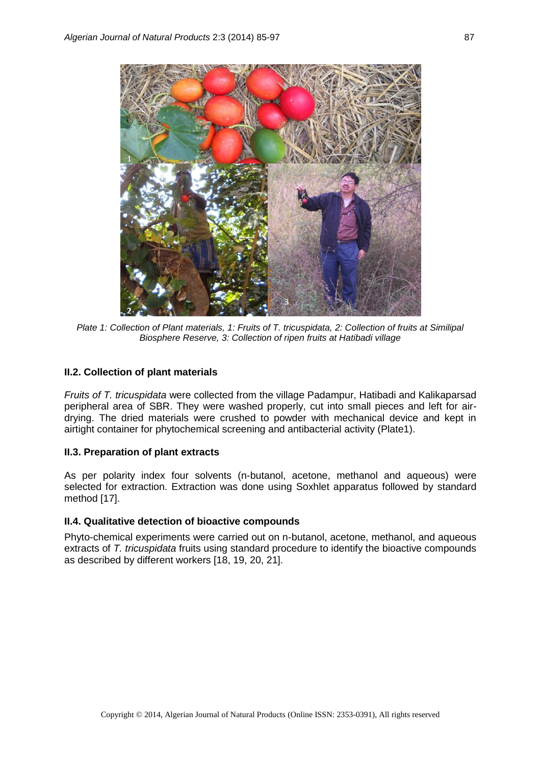

*Plate 1: Collection of Plant materials, 1: Fruits of T. tricuspidata, 2: Collection of fruits at Similipal Biosphere Reserve, 3: Collection of ripen fruits at Hatibadi village*

### **II.2. Collection of plant materials**

*Fruits of T. tricuspidata* were collected from the village Padampur, Hatibadi and Kalikaparsad peripheral area of SBR. They were washed properly, cut into small pieces and left for airdrying. The dried materials were crushed to powder with mechanical device and kept in airtight container for phytochemical screening and antibacterial activity (Plate1).

#### **II.3. Preparation of plant extracts**

As per polarity index four solvents (n-butanol, acetone, methanol and aqueous) were selected for extraction. Extraction was done using Soxhlet apparatus followed by standard method [17].

### **II.4. Qualitative detection of bioactive compounds**

Phyto-chemical experiments were carried out on n-butanol, acetone, methanol, and aqueous extracts of *T. tricuspidata* fruits using standard procedure to identify the bioactive compounds as described by different workers [18, 19, 20, 21].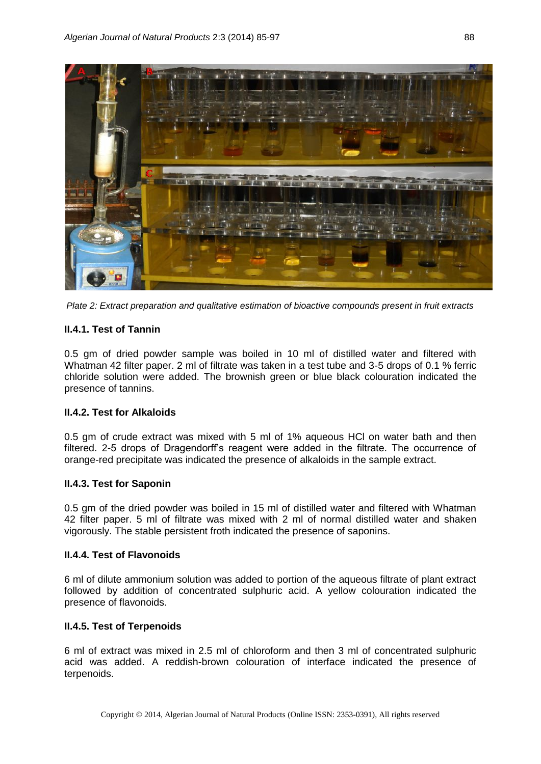

*Plate 2: Extract preparation and qualitative estimation of bioactive compounds present in fruit extracts*

## **II.4.1. Test of Tannin**

0.5 gm of dried powder sample was boiled in 10 ml of distilled water and filtered with Whatman 42 filter paper. 2 ml of filtrate was taken in a test tube and 3-5 drops of 0.1 % ferric chloride solution were added. The brownish green or blue black colouration indicated the presence of tannins.

## **II.4.2. Test for Alkaloids**

0.5 gm of crude extract was mixed with 5 ml of 1% aqueous HCl on water bath and then filtered. 2-5 drops of Dragendorff's reagent were added in the filtrate. The occurrence of orange-red precipitate was indicated the presence of alkaloids in the sample extract.

## **II.4.3. Test for Saponin**

0.5 gm of the dried powder was boiled in 15 ml of distilled water and filtered with Whatman 42 filter paper. 5 ml of filtrate was mixed with 2 ml of normal distilled water and shaken vigorously. The stable persistent froth indicated the presence of saponins.

## **II.4.4. Test of Flavonoids**

6 ml of dilute ammonium solution was added to portion of the aqueous filtrate of plant extract followed by addition of concentrated sulphuric acid. A yellow colouration indicated the presence of flavonoids.

## **II.4.5. Test of Terpenoids**

6 ml of extract was mixed in 2.5 ml of chloroform and then 3 ml of concentrated sulphuric acid was added. A reddish-brown colouration of interface indicated the presence of terpenoids.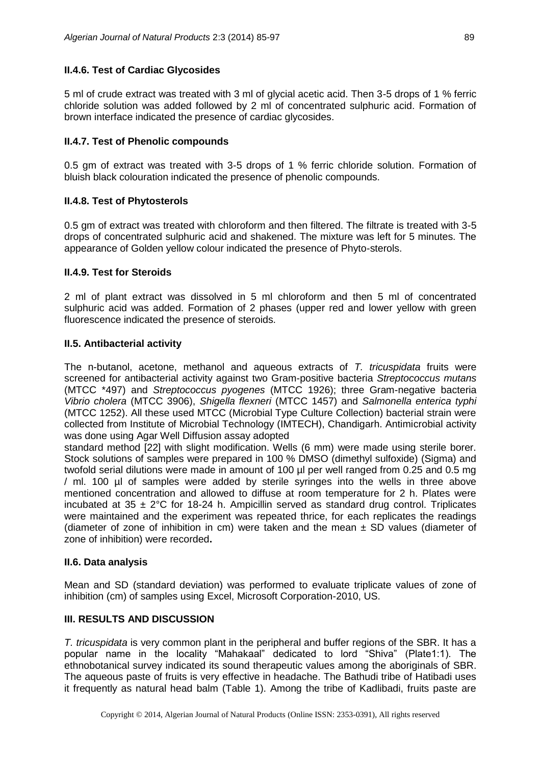#### **II.4.6. Test of Cardiac Glycosides**

5 ml of crude extract was treated with 3 ml of glycial acetic acid. Then 3-5 drops of 1 % ferric chloride solution was added followed by 2 ml of concentrated sulphuric acid. Formation of brown interface indicated the presence of cardiac glycosides.

### **II.4.7. Test of Phenolic compounds**

0.5 gm of extract was treated with 3-5 drops of 1 % ferric chloride solution. Formation of bluish black colouration indicated the presence of phenolic compounds.

### **II.4.8. Test of Phytosterols**

0.5 gm of extract was treated with chloroform and then filtered. The filtrate is treated with 3-5 drops of concentrated sulphuric acid and shakened. The mixture was left for 5 minutes. The appearance of Golden yellow colour indicated the presence of Phyto-sterols.

### **II.4.9. Test for Steroids**

2 ml of plant extract was dissolved in 5 ml chloroform and then 5 ml of concentrated sulphuric acid was added. Formation of 2 phases (upper red and lower yellow with green fluorescence indicated the presence of steroids.

#### **II.5. Antibacterial activity**

The n-butanol, acetone, methanol and aqueous extracts of *T. tricuspidata* fruits were screened for antibacterial activity against two Gram-positive bacteria *Streptococcus mutans* (MTCC \*497) and *Streptococcus pyogenes* (MTCC 1926); three Gram-negative bacteria *Vibrio cholera* (MTCC 3906), *Shigella flexneri* (MTCC 1457) and *Salmonella enterica typhi* (MTCC 1252). All these used MTCC (Microbial Type Culture Collection) bacterial strain were collected from Institute of Microbial Technology (IMTECH), Chandigarh. Antimicrobial activity was done using Agar Well Diffusion assay adopted

standard method [22] with slight modification. Wells (6 mm) were made using sterile borer. Stock solutions of samples were prepared in 100 % DMSO (dimethyl sulfoxide) (Sigma) and twofold serial dilutions were made in amount of 100 µl per well ranged from 0.25 and 0.5 mg / ml. 100 µl of samples were added by sterile syringes into the wells in three above mentioned concentration and allowed to diffuse at room temperature for 2 h. Plates were incubated at  $35 \pm 2^{\circ}$ C for 18-24 h. Ampicillin served as standard drug control. Triplicates were maintained and the experiment was repeated thrice, for each replicates the readings (diameter of zone of inhibition in cm) were taken and the mean  $\pm$  SD values (diameter of zone of inhibition) were recorded**.**

#### **II.6. Data analysis**

Mean and SD (standard deviation) was performed to evaluate triplicate values of zone of inhibition (cm) of samples using Excel, Microsoft Corporation-2010, US.

#### **III. RESULTS AND DISCUSSION**

*T. tricuspidata* is very common plant in the peripheral and buffer regions of the SBR. It has a popular name in the locality "Mahakaal" dedicated to lord "Shiva" (Plate1:1). The ethnobotanical survey indicated its sound therapeutic values among the aboriginals of SBR. The aqueous paste of fruits is very effective in headache. The Bathudi tribe of Hatibadi uses it frequently as natural head balm (Table 1). Among the tribe of Kadlibadi, fruits paste are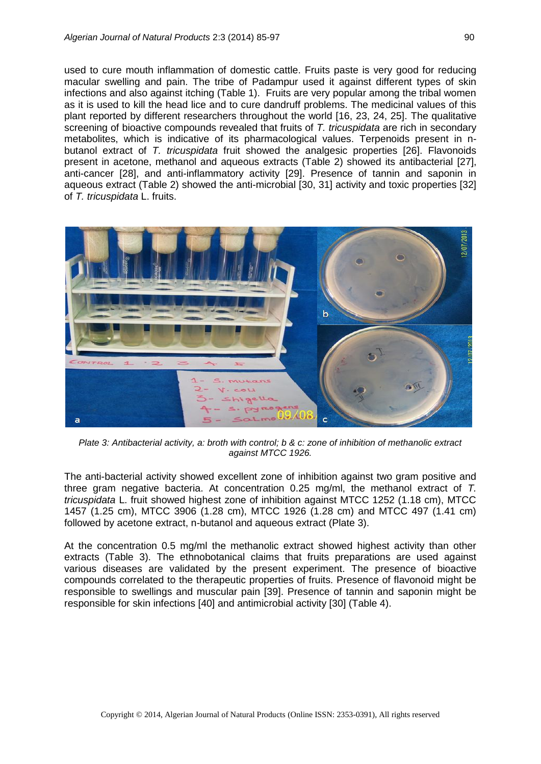used to cure mouth inflammation of domestic cattle. Fruits paste is very good for reducing macular swelling and pain. The tribe of Padampur used it against different types of skin infections and also against itching (Table 1). Fruits are very popular among the tribal women as it is used to kill the head lice and to cure dandruff problems. The medicinal values of this plant reported by different researchers throughout the world [16, 23, 24, 25]. The qualitative screening of bioactive compounds revealed that fruits of *T. tricuspidata* are rich in secondary metabolites, which is indicative of its pharmacological values. Terpenoids present in nbutanol extract of *T. tricuspidata* fruit showed the analgesic properties [26]. Flavonoids present in acetone, methanol and aqueous extracts (Table 2) showed its antibacterial [27], anti-cancer [28], and anti-inflammatory activity [29]. Presence of tannin and saponin in aqueous extract (Table 2) showed the anti-microbial [30, 31] activity and toxic properties [32] of *T. tricuspidata* L. fruits.



*Plate 3: Antibacterial activity, a: broth with control; b & c: zone of inhibition of methanolic extract against MTCC 1926.*

The anti-bacterial activity showed excellent zone of inhibition against two gram positive and three gram negative bacteria. At concentration 0.25 mg/ml, the methanol extract of *T. tricuspidata* L. fruit showed highest zone of inhibition against MTCC 1252 (1.18 cm), MTCC 1457 (1.25 cm), MTCC 3906 (1.28 cm), MTCC 1926 (1.28 cm) and MTCC 497 (1.41 cm) followed by acetone extract, n-butanol and aqueous extract (Plate 3).

At the concentration 0.5 mg/ml the methanolic extract showed highest activity than other extracts (Table 3). The ethnobotanical claims that fruits preparations are used against various diseases are validated by the present experiment. The presence of bioactive compounds correlated to the therapeutic properties of fruits. Presence of flavonoid might be responsible to swellings and muscular pain [39]. Presence of tannin and saponin might be responsible for skin infections [40] and antimicrobial activity [30] (Table 4).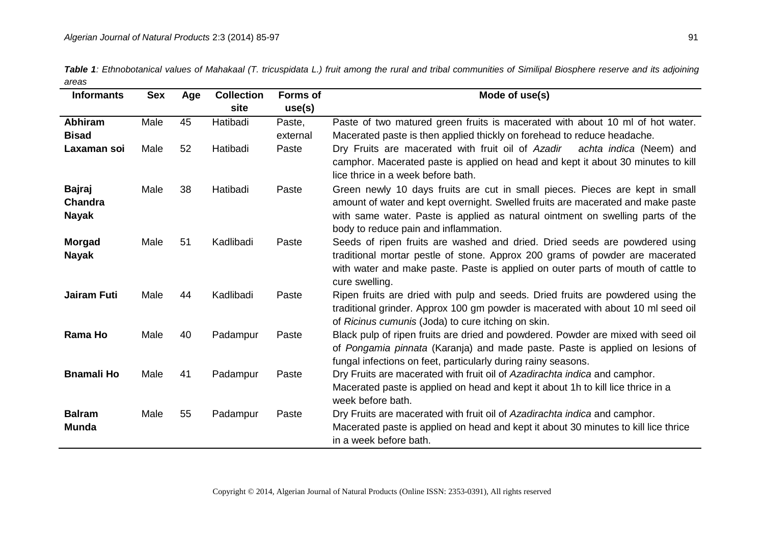| Table 1: Ethnobotanical values of Mahakaal (T. tricuspidata L.) fruit among the rural and tribal communities of Similipal Biosphere reserve and its adjoining |  |
|---------------------------------------------------------------------------------------------------------------------------------------------------------------|--|
| areas                                                                                                                                                         |  |

| <b>Informants</b>                        | <b>Sex</b> | Age | <b>Collection</b> | <b>Forms of</b> | Mode of use(s)                                                                                                                                                                                                                                                                             |
|------------------------------------------|------------|-----|-------------------|-----------------|--------------------------------------------------------------------------------------------------------------------------------------------------------------------------------------------------------------------------------------------------------------------------------------------|
|                                          |            |     | site              | use(s)          |                                                                                                                                                                                                                                                                                            |
| <b>Abhiram</b>                           | Male       | 45  | Hatibadi          | Paste,          | Paste of two matured green fruits is macerated with about 10 ml of hot water.                                                                                                                                                                                                              |
| <b>Bisad</b>                             |            |     |                   | external        | Macerated paste is then applied thickly on forehead to reduce headache.                                                                                                                                                                                                                    |
| Laxaman soi                              | Male       | 52  | Hatibadi          | Paste           | Dry Fruits are macerated with fruit oil of Azadir<br>achta indica (Neem) and<br>camphor. Macerated paste is applied on head and kept it about 30 minutes to kill<br>lice thrice in a week before bath.                                                                                     |
| <b>Bajraj</b><br>Chandra<br><b>Nayak</b> | Male       | 38  | Hatibadi          | Paste           | Green newly 10 days fruits are cut in small pieces. Pieces are kept in small<br>amount of water and kept overnight. Swelled fruits are macerated and make paste<br>with same water. Paste is applied as natural ointment on swelling parts of the<br>body to reduce pain and inflammation. |
| <b>Morgad</b><br><b>Nayak</b>            | Male       | 51  | Kadlibadi         | Paste           | Seeds of ripen fruits are washed and dried. Dried seeds are powdered using<br>traditional mortar pestle of stone. Approx 200 grams of powder are macerated<br>with water and make paste. Paste is applied on outer parts of mouth of cattle to<br>cure swelling.                           |
| <b>Jairam Futi</b>                       | Male       | 44  | Kadlibadi         | Paste           | Ripen fruits are dried with pulp and seeds. Dried fruits are powdered using the<br>traditional grinder. Approx 100 gm powder is macerated with about 10 ml seed oil<br>of Ricinus cumunis (Joda) to cure itching on skin.                                                                  |
| Rama Ho                                  | Male       | 40  | Padampur          | Paste           | Black pulp of ripen fruits are dried and powdered. Powder are mixed with seed oil<br>of Pongamia pinnata (Karanja) and made paste. Paste is applied on lesions of<br>fungal infections on feet, particularly during rainy seasons.                                                         |
| <b>Bnamali Ho</b>                        | Male       | 41  | Padampur          | Paste           | Dry Fruits are macerated with fruit oil of Azadirachta indica and camphor.<br>Macerated paste is applied on head and kept it about 1h to kill lice thrice in a<br>week before bath.                                                                                                        |
| <b>Balram</b><br><b>Munda</b>            | Male       | 55  | Padampur          | Paste           | Dry Fruits are macerated with fruit oil of Azadirachta indica and camphor.<br>Macerated paste is applied on head and kept it about 30 minutes to kill lice thrice<br>in a week before bath.                                                                                                |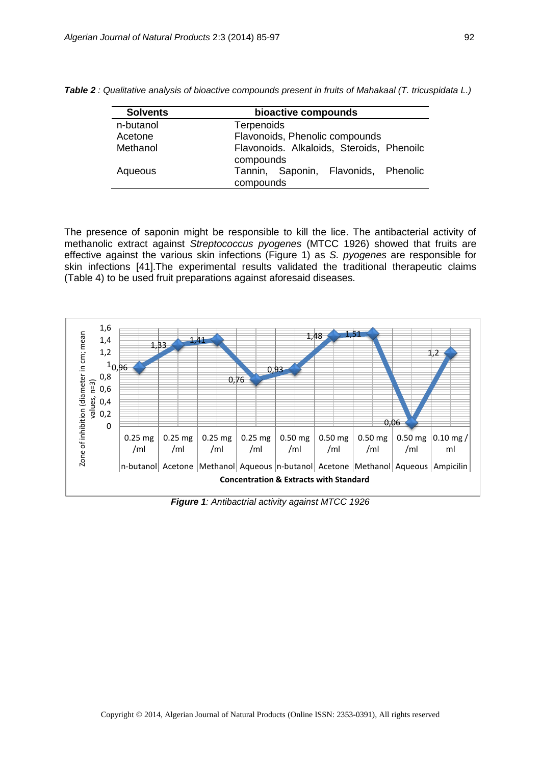| <b>Solvents</b> | bioactive compounds                                    |  |  |
|-----------------|--------------------------------------------------------|--|--|
| n-butanol       | <b>Terpenoids</b>                                      |  |  |
| Acetone         | Flavonoids, Phenolic compounds                         |  |  |
| Methanol        | Flavonoids. Alkaloids, Steroids, Phenoilc<br>compounds |  |  |
| Aqueous         | Tannin, Saponin, Flavonids, Phenolic<br>compounds      |  |  |

*Table 2 : Qualitative analysis of bioactive compounds present in fruits of Mahakaal (T. tricuspidata L.)*

The presence of saponin might be responsible to kill the lice. The antibacterial activity of methanolic extract against *Streptococcus pyogenes* (MTCC 1926) showed that fruits are effective against the various skin infections (Figure 1) as *S. pyogenes* are responsible for skin infections [41].The experimental results validated the traditional therapeutic claims (Table 4) to be used fruit preparations against aforesaid diseases.



*Figure 1: Antibactrial activity against MTCC 1926*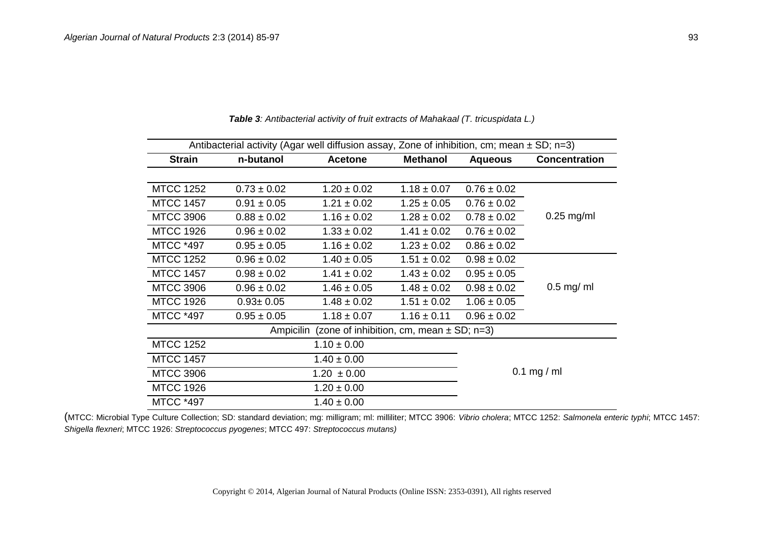| Antibacterial activity (Agar well diffusion assay, Zone of inhibition, cm; mean $\pm$ SD; n=3) |                 |                 |                 |                 |                      |  |
|------------------------------------------------------------------------------------------------|-----------------|-----------------|-----------------|-----------------|----------------------|--|
| <b>Strain</b>                                                                                  | n-butanol       | <b>Acetone</b>  | <b>Methanol</b> |                 | <b>Concentration</b> |  |
|                                                                                                |                 |                 |                 |                 |                      |  |
| <b>MTCC 1252</b>                                                                               | $0.73 \pm 0.02$ | $1.20 \pm 0.02$ | $1.18 \pm 0.07$ | $0.76 \pm 0.02$ |                      |  |
| <b>MTCC 1457</b>                                                                               | $0.91 \pm 0.05$ | $1.21 \pm 0.02$ | $1.25 \pm 0.05$ | $0.76 \pm 0.02$ |                      |  |
| <b>MTCC 3906</b>                                                                               | $0.88 \pm 0.02$ | $1.16 \pm 0.02$ | $1.28 \pm 0.02$ | $0.78 \pm 0.02$ | $0.25$ mg/ml         |  |
| <b>MTCC 1926</b>                                                                               | $0.96 \pm 0.02$ | $1.33 \pm 0.02$ | $1.41 \pm 0.02$ | $0.76 \pm 0.02$ |                      |  |
| <b>MTCC *497</b>                                                                               | $0.95 \pm 0.05$ | $1.16 \pm 0.02$ | $1.23 \pm 0.02$ | $0.86 \pm 0.02$ |                      |  |
| <b>MTCC 1252</b>                                                                               | $0.96 \pm 0.02$ | $1.40 \pm 0.05$ | $1.51 \pm 0.02$ | $0.98 \pm 0.02$ |                      |  |
| <b>MTCC 1457</b>                                                                               | $0.98 \pm 0.02$ | $1.41 \pm 0.02$ | $1.43 \pm 0.02$ | $0.95 \pm 0.05$ |                      |  |
| <b>MTCC 3906</b>                                                                               | $0.96 \pm 0.02$ | $1.46 \pm 0.05$ | $1.48 \pm 0.02$ | $0.98 \pm 0.02$ | $0.5$ mg/ ml         |  |
| <b>MTCC 1926</b>                                                                               | $0.93 \pm 0.05$ | $1.48 \pm 0.02$ | $1.51 \pm 0.02$ | $1.06 \pm 0.05$ |                      |  |
| <b>MTCC *497</b>                                                                               | $0.95 \pm 0.05$ | $1.18 \pm 0.07$ | $1.16 \pm 0.11$ | $0.96 \pm 0.02$ |                      |  |
| (zone of inhibition, cm, mean $\pm$ SD; n=3)<br>Ampicilin                                      |                 |                 |                 |                 |                      |  |
| <b>MTCC 1252</b>                                                                               |                 | $1.10 \pm 0.00$ |                 |                 |                      |  |
| <b>MTCC 1457</b>                                                                               |                 | $1.40 \pm 0.00$ |                 |                 |                      |  |
| <b>MTCC 3906</b>                                                                               |                 | $1.20 \pm 0.00$ |                 |                 | $0.1$ mg / ml        |  |
| <b>MTCC 1926</b>                                                                               |                 | $1.20 \pm 0.00$ |                 |                 |                      |  |
| <b>MTCC *497</b>                                                                               |                 | $1.40 \pm 0.00$ |                 |                 |                      |  |

*Table 3: Antibacterial activity of fruit extracts of Mahakaal (T. tricuspidata L.)* 

(MTCC: Microbial Type Culture Collection; SD: standard deviation; mg: milligram; ml: milliliter; MTCC 3906: *Vibrio cholera*; MTCC 1252: *Salmonela enteric typhi*; MTCC 1457: *Shigella flexneri*; MTCC 1926: *Streptococcus pyogenes*; MTCC 497: *Streptococcus mutans)*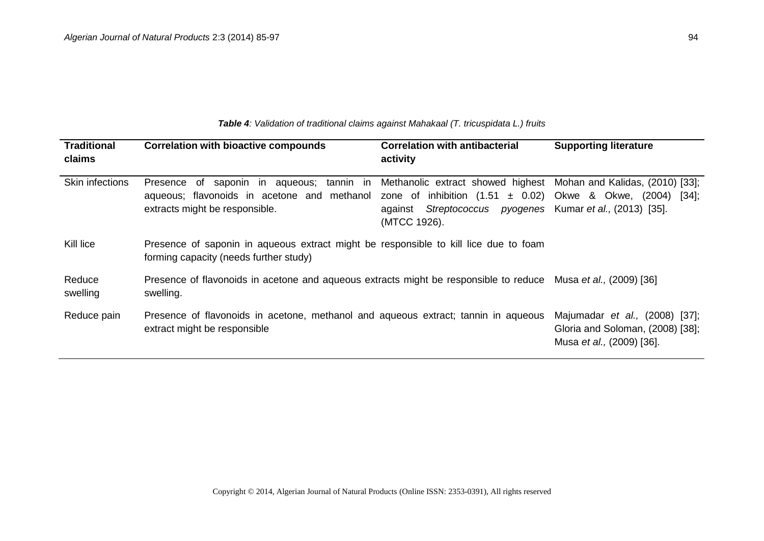| <b>Traditional</b><br>claims | <b>Correlation with bioactive compounds</b>                                                                                                                                                                                                           | <b>Correlation with antibacterial</b><br>activity                         | <b>Supporting literature</b>                                                                            |
|------------------------------|-------------------------------------------------------------------------------------------------------------------------------------------------------------------------------------------------------------------------------------------------------|---------------------------------------------------------------------------|---------------------------------------------------------------------------------------------------------|
| Skin infections              | Presence of saponin in aqueous; tannin in Methanolic extract showed highest Mohan and Kalidas, (2010) [33];<br>aqueous; flavonoids in acetone and methanol zone of inhibition $(1.51 \pm 0.02)$ Okwe & Okwe, (2004)<br>extracts might be responsible. | against Streptococcus pyogenes Kumar et al., (2013) [35].<br>(MTCC 1926). | $\left[34\right]$ ;                                                                                     |
| Kill lice                    | Presence of saponin in aqueous extract might be responsible to kill lice due to foam<br>forming capacity (needs further study)                                                                                                                        |                                                                           |                                                                                                         |
| Reduce<br>swelling           | Presence of flavonoids in acetone and aqueous extracts might be responsible to reduce Musa et al., (2009) [36]<br>swelling.                                                                                                                           |                                                                           |                                                                                                         |
| Reduce pain                  | Presence of flavonoids in acetone, methanol and aqueous extract; tannin in aqueous<br>extract might be responsible                                                                                                                                    |                                                                           | Majumadar <i>et al.</i> , (2008) [37];<br>Gloria and Soloman, (2008) [38];<br>Musa et al., (2009) [36]. |

*Table 4: Validation of traditional claims against Mahakaal (T. tricuspidata L.) fruits*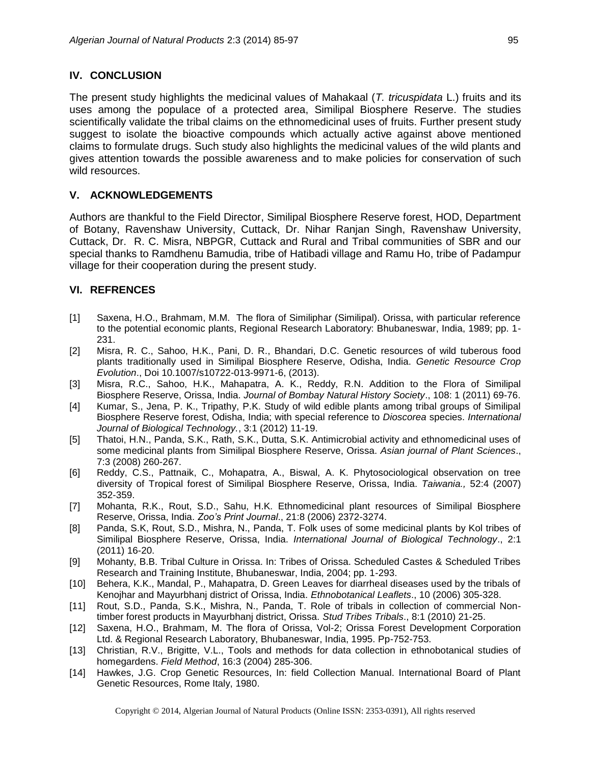### **IV. CONCLUSION**

The present study highlights the medicinal values of Mahakaal (*T. tricuspidata* L.) fruits and its uses among the populace of a protected area, Similipal Biosphere Reserve. The studies scientifically validate the tribal claims on the ethnomedicinal uses of fruits. Further present study suggest to isolate the bioactive compounds which actually active against above mentioned claims to formulate drugs. Such study also highlights the medicinal values of the wild plants and gives attention towards the possible awareness and to make policies for conservation of such wild resources.

## **V. ACKNOWLEDGEMENTS**

Authors are thankful to the Field Director, Similipal Biosphere Reserve forest, HOD, Department of Botany, Ravenshaw University, Cuttack, Dr. Nihar Ranjan Singh, Ravenshaw University, Cuttack, Dr. R. C. Misra, NBPGR, Cuttack and Rural and Tribal communities of SBR and our special thanks to Ramdhenu Bamudia, tribe of Hatibadi village and Ramu Ho, tribe of Padampur village for their cooperation during the present study.

## **VI. REFRENCES**

- [1] Saxena, H.O., Brahmam, M.M. The flora of Similiphar (Similipal). Orissa, with particular reference to the potential economic plants, Regional Research Laboratory: Bhubaneswar, India, 1989; pp. 1- 231.
- [2] Misra, R. C., Sahoo, H.K., Pani, D. R., Bhandari, D.C. Genetic resources of wild tuberous food plants traditionally used in Similipal Biosphere Reserve, Odisha, India. *Genetic Resource Crop Evolution*., Doi 10.1007/s10722-013-9971-6, (2013).
- [3] Misra, R.C., Sahoo, H.K., Mahapatra, A. K., Reddy, R.N. Addition to the Flora of Similipal Biosphere Reserve, Orissa, India. *Journal of Bombay Natural History Society*., 108: 1 (2011) 69-76.
- [4] Kumar, S., Jena, P. K., Tripathy, P.K. Study of wild edible plants among tribal groups of Similipal Biosphere Reserve forest, Odisha, India; with special reference to *Dioscorea* species. *International Journal of Biological Technology.*, 3:1 (2012) 11-19.
- [5] Thatoi, H.N., Panda, S.K., Rath, S.K., Dutta, S.K. Antimicrobial activity and ethnomedicinal uses of some medicinal plants from Similipal Biosphere Reserve, Orissa. *Asian journal of Plant Sciences*., 7:3 (2008) 260-267.
- [6] Reddy, C.S., Pattnaik, C., Mohapatra, A., Biswal, A. K. Phytosociological observation on tree diversity of Tropical forest of Similipal Biosphere Reserve, Orissa, India. *Taiwania.,* 52:4 (2007) 352-359.
- [7] Mohanta, R.K., Rout, S.D., Sahu, H.K. Ethnomedicinal plant resources of Similipal Biosphere Reserve, Orissa, India. *Zoo's Print Journal*., 21:8 (2006) 2372-3274.
- [8] Panda, S.K, Rout, S.D., Mishra, N., Panda, T. Folk uses of some medicinal plants by Kol tribes of Similipal Biosphere Reserve, Orissa, India. *International Journal of Biological Technology*., 2:1 (2011) 16-20.
- [9] Mohanty, B.B. Tribal Culture in Orissa. In: Tribes of Orissa. Scheduled Castes & Scheduled Tribes Research and Training Institute, Bhubaneswar, India, 2004; pp. 1-293.
- [10] Behera, K.K., Mandal, P., Mahapatra, D. Green Leaves for diarrheal diseases used by the tribals of Kenojhar and Mayurbhanj district of Orissa, India. *Ethnobotanical Leaflets*., 10 (2006) 305-328.
- [11] Rout, S.D., Panda, S.K., Mishra, N., Panda, T. Role of tribals in collection of commercial Nontimber forest products in Mayurbhanj district, Orissa. *Stud Tribes Tribals*., 8:1 (2010) 21-25.
- [12] Saxena, H.O., Brahmam, M. The flora of Orissa, Vol-2; Orissa Forest Development Corporation Ltd. & Regional Research Laboratory, Bhubaneswar, India, 1995. Pp-752-753.
- [13] Christian, R.V., Brigitte, V.L., Tools and methods for data collection in ethnobotanical studies of homegardens. *Field Method*, 16:3 (2004) 285-306.
- [14] Hawkes, J.G. Crop Genetic Resources, In: field Collection Manual. International Board of Plant Genetic Resources, Rome Italy, 1980.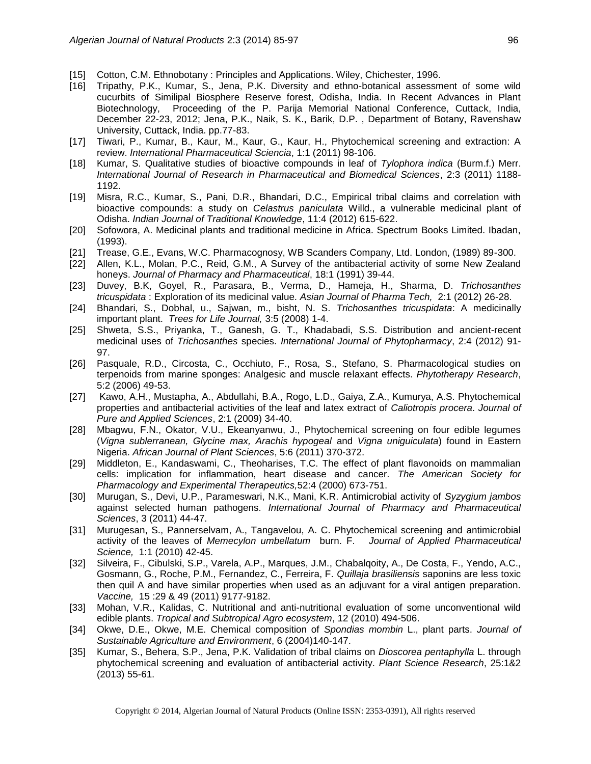- [15] Cotton, C.M. Ethnobotany : Principles and Applications. Wiley, Chichester, 1996.
- [16] Tripathy, P.K., Kumar, S., Jena, P.K. Diversity and ethno-botanical assessment of some wild cucurbits of Similipal Biosphere Reserve forest, Odisha, India. In Recent Advances in Plant Biotechnology, Proceeding of the P. Parija Memorial National Conference, Cuttack, India, December 22-23, 2012; Jena, P.K., Naik, S. K., Barik, D.P. , Department of Botany, Ravenshaw University, Cuttack, India. pp.77-83.
- [17] Tiwari, P., Kumar, B., Kaur, M., Kaur, G., Kaur, H., Phytochemical screening and extraction: A review. *International Pharmaceutical Sciencia*, 1:1 (2011) 98-106.
- [18] Kumar, S. Qualitative studies of bioactive compounds in leaf of *Tylophora indica* (Burm.f.) Merr. *International Journal of Research in Pharmaceutical and Biomedical Sciences*, 2:3 (2011) 1188- 1192.
- [19] Misra, R.C., Kumar, S., Pani, D.R., Bhandari, D.C., Empirical tribal claims and correlation with bioactive compounds: a study on *Celastrus paniculata* Willd., a vulnerable medicinal plant of Odisha. *Indian Journal of Traditional Knowledge*, 11:4 (2012) 615-622.
- [20] Sofowora, A. Medicinal plants and traditional medicine in Africa. Spectrum Books Limited. Ibadan, (1993).
- [21] Trease, G.E., Evans, W.C. Pharmacognosy, WB Scanders Company, Ltd. London, (1989) 89-300.
- [22] Allen, K.L., Molan, P.C., Reid, G.M., A Survey of the antibacterial activity of some New Zealand honeys. *Journal of Pharmacy and Pharmaceutical*, 18:1 (1991) 39-44.
- [23] Duvey, B.K, Goyel, R., Parasara, B., Verma, D., Hameja, H., Sharma, D. *Trichosanthes tricuspidata* : Exploration of its medicinal value. *Asian Journal of Pharma Tech,* 2:1 (2012) 26-28.
- [24] Bhandari, S., Dobhal, u., Sajwan, m., bisht, N. S. *Trichosanthes tricuspidata*: A medicinally important plant. *Trees for Life Journal,* 3:5 (2008) 1-4.
- [25] Shweta, S.S., Priyanka, T., Ganesh, G. T., Khadabadi, S.S. Distribution and ancient-recent medicinal uses of *Trichosanthes* species. *International Journal of Phytopharmacy*, 2:4 (2012) 91- 97.
- [26] Pasquale, R.D., Circosta, C., Occhiuto, F., Rosa, S., Stefano, S. Pharmacological studies on terpenoids from marine sponges: Analgesic and muscle relaxant effects. *Phytotherapy Research*, 5:2 (2006) 49-53.
- [27] Kawo, A.H., Mustapha, A., Abdullahi, B.A., Rogo, L.D., Gaiya, Z.A., Kumurya, A.S. Phytochemical properties and antibacterial activities of the leaf and latex extract of *Caliotropis procera*. *Journal of Pure and Applied Sciences*, 2:1 (2009) 34-40.
- [28] Mbagwu, F.N., Okator, V.U., Ekeanyanwu, J., Phytochemical screening on four edible legumes (*Vigna sublerranean, Glycine max, Arachis hypogeal* and *Vigna uniguiculata*) found in Eastern Nigeria. *African Journal of Plant Sciences*, 5:6 (2011) 370-372.
- [29] Middleton, E., Kandaswami, C., Theoharises, T.C. The effect of plant flavonoids on mammalian cells: implication for inflammation, heart disease and cancer. *The American Society for Pharmacology and Experimental Therapeutics,*52:4 (2000) 673-751.
- [30] Murugan, S., Devi, U.P., Parameswari, N.K., Mani, K.R. Antimicrobial activity of *Syzygium jambos* against selected human pathogens. *International Journal of Pharmacy and Pharmaceutical Sciences*, 3 (2011) 44-47.
- [31] Murugesan, S., Pannerselvam, A., Tangavelou, A. C. Phytochemical screening and antimicrobial activity of the leaves of *Memecylon umbellatum* burn. F. *Journal of Applied Pharmaceutical Science,* 1:1 (2010) 42-45.
- [32] Silveira, F., Cibulski, S.P., Varela, A.P., Marques, J.M., Chabalqoity, A., De Costa, F., Yendo, A.C., Gosmann, G., Roche, P.M., Fernandez, C., Ferreira, F. *Quillaja brasiliensis* saponins are less toxic then quil A and have similar properties when used as an adjuvant for a viral antigen preparation. *Vaccine,* 15 :29 & 49 (2011) 9177-9182.
- [33] Mohan, V.R., Kalidas, C. Nutritional and anti-nutritional evaluation of some unconventional wild edible plants. *Tropical and Subtropical Agro ecosystem*, 12 (2010) 494-506.
- [34] Okwe, D.E., Okwe, M.E. Chemical composition of *Spondias mombin* L., plant parts. *Journal of Sustainable Agriculture and Environment*, 6 (2004)140-147.
- [35] Kumar, S., Behera, S.P., Jena, P.K. Validation of tribal claims on *Dioscorea pentaphylla* L. through phytochemical screening and evaluation of antibacterial activity. *Plant Science Research*, 25:1&2 (2013) 55-61.